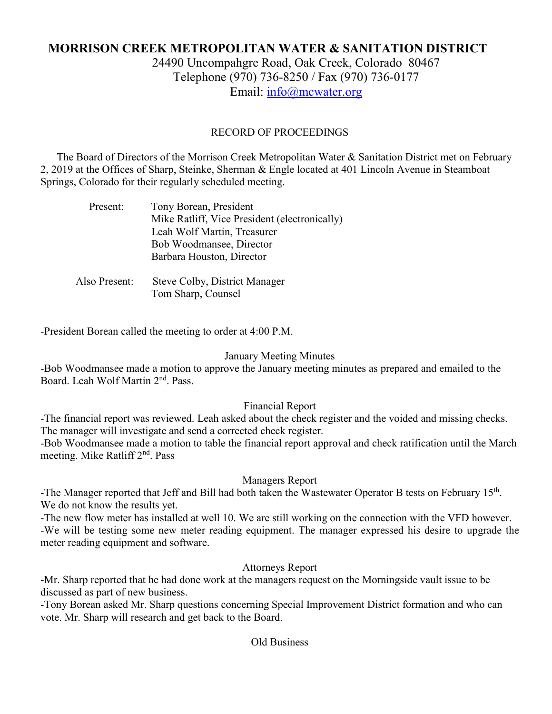# **MORRISON CREEK METROPOLITAN WATER & SANITATION DISTRICT** 24490 Uncompahgre Road, Oak Creek, Colorado 80467 Telephone (970) 736-8250 / Fax (970) 736-0177 Email: [info@mcwater.org](mailto:info@mcwater.org)

# RECORD OF PROCEEDINGS

 The Board of Directors of the Morrison Creek Metropolitan Water & Sanitation District met on February 2, 2019 at the Offices of Sharp, Steinke, Sherman & Engle located at 401 Lincoln Avenue in Steamboat Springs, Colorado for their regularly scheduled meeting.

| Present:      | Tony Borean, President                        |
|---------------|-----------------------------------------------|
|               | Mike Ratliff, Vice President (electronically) |
|               | Leah Wolf Martin, Treasurer                   |
|               | Bob Woodmansee, Director                      |
|               | Barbara Houston, Director                     |
|               |                                               |
| Also Present: | Steve Colby, District Manager                 |
|               | Tom Sharp, Counsel                            |

-President Borean called the meeting to order at 4:00 P.M.

#### January Meeting Minutes

-Bob Woodmansee made a motion to approve the January meeting minutes as prepared and emailed to the Board. Leah Wolf Martin 2<sup>nd</sup>. Pass.

## Financial Report

-The financial report was reviewed. Leah asked about the check register and the voided and missing checks. The manager will investigate and send a corrected check register.

-Bob Woodmansee made a motion to table the financial report approval and check ratification until the March meeting. Mike Ratliff 2<sup>nd</sup>. Pass

## Managers Report

-The Manager reported that Jeff and Bill had both taken the Wastewater Operator B tests on February 15<sup>th</sup>. We do not know the results yet.

-The new flow meter has installed at well 10. We are still working on the connection with the VFD however. -We will be testing some new meter reading equipment. The manager expressed his desire to upgrade the meter reading equipment and software.

## Attorneys Report

-Mr. Sharp reported that he had done work at the managers request on the Morningside vault issue to be discussed as part of new business.

-Tony Borean asked Mr. Sharp questions concerning Special Improvement District formation and who can vote. Mr. Sharp will research and get back to the Board.

#### Old Business